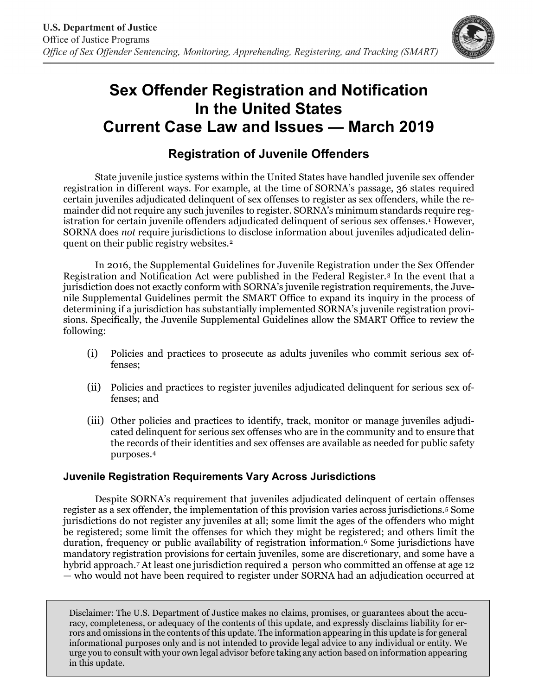

# **Sex Offender Registration and Notification In the United States Current Case Law and Issues — March 2019**

## **Registration of Juvenile Offenders**

State juvenile justice systems within the United States have handled juvenile sex offender registration in different ways. For example, at the time of SORNA's passage, 36 states required certain juveniles adjudicated delinquent of sex offenses to register as sex offenders, while the remainder did not require any such juveniles to register. SORNA's minimum standards require reg-istration for certain juvenile offenders adjudicated delinquent of serious sex offenses.<sup>[1](#page-1-0)</sup> However, SORNA does *not* require jurisdictions to disclose information about juveniles adjudicated delinquent on their public registry websites.[2](#page-1-1)

In 2016, the Supplemental Guidelines for Juvenile Registration under the Sex Offender Registration and Notification Act were published in the Federal Register.[3](#page-1-2) In the event that a jurisdiction does not exactly conform with SORNA's juvenile registration requirements, the Juvenile Supplemental Guidelines permit the SMART Office to expand its inquiry in the process of determining if a jurisdiction has substantially implemented SORNA's juvenile registration provisions. Specifically, the Juvenile Supplemental Guidelines allow the SMART Office to review the following:

- (i) Policies and practices to prosecute as adults juveniles who commit serious sex offenses;
- (ii) Policies and practices to register juveniles adjudicated delinquent for serious sex offenses; and
- (iii) Other policies and practices to identify, track, monitor or manage juveniles adjudicated delinquent for serious sex offenses who are in the community and to ensure that the records of their identities and sex offenses are available as needed for public safety purposes.[4](#page-1-3)

#### **Juvenile Registration Requirements Vary Across Jurisdictions**

Despite SORNA's requirement that juveniles adjudicated delinquent of certain offenses register as a sex offender, the implementation of this provision varies across jurisdictions.[5](#page-1-4) Some jurisdictions do not register any juveniles at all; some limit the ages of the offenders who might be registered; some limit the offenses for which they might be registered; and others limit the duration, frequency or public availability of registration information.[6](#page-1-5) Some jurisdictions have mandatory registration provisions for certain juveniles, some are discretionary, and some have a hybrid approach[.7](#page-2-0) At least one jurisdiction required a person who committed an offense at age 12 — who would not have been required to register under SORNA had an adjudication occurred at

Disclaimer: The U.S. Department of Justice makes no claims, promises, or guarantees about the accuracy, completeness, or adequacy of the contents of this update, and expressly disclaims liability for errors and omissions in the contents of this update. The information appearing in this update is for general informational purposes only and is not intended to provide legal advice to any individual or entity. We urge you to consult with your own legal advisor before taking any action based on information appearing in this update.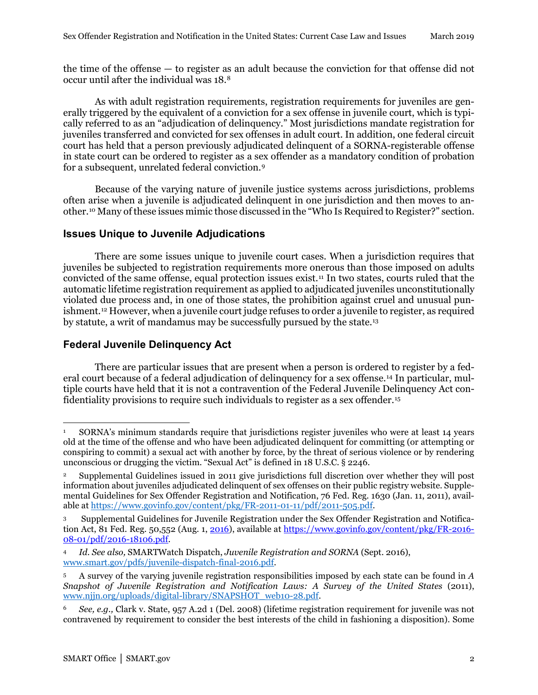the time of the offense — to register as an adult because the conviction for that offense did not occur until after the individual was 18.[8](#page-2-1)

As with adult registration requirements, registration requirements for juveniles are generally triggered by the equivalent of a conviction for a sex offense in juvenile court, which is typically referred to as an "adjudication of delinquency." Most jurisdictions mandate registration for juveniles transferred and convicted for sex offenses in adult court. In addition, one federal circuit court has held that a person previously adjudicated delinquent of a SORNA-registerable offense in state court can be ordered to register as a sex offender as a mandatory condition of probation for a subsequent, unrelated federal conviction.[9](#page-2-2)

Because of the varying nature of juvenile justice systems across jurisdictions, problems often arise when a juvenile is adjudicated delinquent in one jurisdiction and then moves to another[.10](#page-2-3) Many of these issues mimic those discussed in the "Who Is Required to Register?" section.

### **Issues Unique to Juvenile Adjudications**

There are some issues unique to juvenile court cases. When a jurisdiction requires that juveniles be subjected to registration requirements more onerous than those imposed on adults convicted of the same offense, equal protection issues exist.[11](#page-2-4) In two states, courts ruled that the automatic lifetime registration requirement as applied to adjudicated juveniles unconstitutionally violated due process and, in one of those states, the prohibition against cruel and unusual punishment.[12](#page-2-5) However, when a juvenile court judge refuses to order a juvenile to register, as required by statute, a writ of mandamus may be successfully pursued by the state.[13](#page-2-6) 

#### **Federal Juvenile Delinquency Act**

There are particular issues that are present when a person is ordered to register by a federal court because of a federal adjudication of delinquency for a sex offense.[14](#page-2-7) In particular, multiple courts have held that it is not a contravention of the Federal Juvenile Delinquency Act confidentiality provisions to require such individuals to register as a sex offender.[15](#page-2-8)

<span id="page-1-0"></span><sup>1</sup> SORNA's minimum standards require that jurisdictions register juveniles who were at least 14 years old at the time of the offense and who have been adjudicated delinquent for committing (or attempting or conspiring to commit) a sexual act with another by force, by the threat of serious violence or by rendering unconscious or drugging the victim. "Sexual Act" is defined in 18 U.S.C. § 2246. 1

<span id="page-1-1"></span><sup>2</sup> Supplemental Guidelines issued in 2011 give jurisdictions full discretion over whether they will post information about juveniles adjudicated delinquent of sex offenses on their public registry website. Supplemental Guidelines for Sex Offender Registration and Notification, 76 Fed. Reg. 1630 (Jan. 11, 2011), available at [https://www.govinfo.gov/content/pkg/FR-2011-01-11/pdf/2011-505.pdf.](https://www.govinfo.gov/content/pkg/FR-2011-01-11/pdf/2011-505.pdf) 

<span id="page-1-2"></span><sup>3</sup> Supplemental Guidelines for Juvenile Registration under the Sex Offender Registration and Notification Act, 81 Fed. Reg. 50,552 (Aug. 1, 2016), available at https://www.govinfo.gov/content/pkg/FR-2016- 08-01/pdf/2016-18106.pdf.

<span id="page-1-3"></span><sup>4</sup> *Id. See also,* SMARTWatch Dispatch, *Juvenile Registration and SORNA* (Sept. 2016), [www.smart.gov/pdfs/juvenile-dispatch-final-2016.pdf.](https://www.smart.gov/pdfs/juvenile-dispatch-final-2016.pdf)

<span id="page-1-4"></span><sup>5</sup> A survey of the varying juvenile registration responsibilities imposed by each state can be found in *A Snapshot of Juvenile Registration and Notification Laws: A Survey of the United States* (2011), [www.njjn.org/uploads/digital-library/SNAPSHOT\\_web10-28.pdf.](http://www.njjn.org/uploads/digital-library/SNAPSHOT_web10-28.pdf)

<span id="page-1-5"></span><sup>6</sup> *See, e.g.,* Clark v. State, 957 A.2d 1 (Del. 2008) (lifetime registration requirement for juvenile was not contravened by requirement to consider the best interests of the child in fashioning a disposition). Some